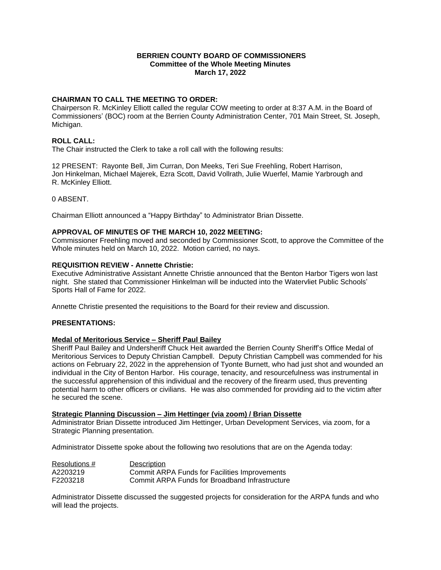### **BERRIEN COUNTY BOARD OF COMMISSIONERS Committee of the Whole Meeting Minutes March 17, 2022**

## **CHAIRMAN TO CALL THE MEETING TO ORDER:**

Chairperson R. McKinley Elliott called the regular COW meeting to order at 8:37 A.M. in the Board of Commissioners' (BOC) room at the Berrien County Administration Center, 701 Main Street, St. Joseph, Michigan.

## **ROLL CALL:**

The Chair instructed the Clerk to take a roll call with the following results:

12 PRESENT: Rayonte Bell, Jim Curran, Don Meeks, Teri Sue Freehling, Robert Harrison, Jon Hinkelman, Michael Majerek, Ezra Scott, David Vollrath, Julie Wuerfel, Mamie Yarbrough and R. McKinley Elliott.

0 ABSENT.

Chairman Elliott announced a "Happy Birthday" to Administrator Brian Dissette.

### **APPROVAL OF MINUTES OF THE MARCH 10, 2022 MEETING:**

Commissioner Freehling moved and seconded by Commissioner Scott, to approve the Committee of the Whole minutes held on March 10, 2022. Motion carried, no nays.

### **REQUISITION REVIEW - Annette Christie:**

Executive Administrative Assistant Annette Christie announced that the Benton Harbor Tigers won last night. She stated that Commissioner Hinkelman will be inducted into the Watervliet Public Schools' Sports Hall of Fame for 2022.

Annette Christie presented the requisitions to the Board for their review and discussion.

### **PRESENTATIONS:**

### **Medal of Meritorious Service – Sheriff Paul Bailey**

Sheriff Paul Bailey and Undersheriff Chuck Heit awarded the Berrien County Sheriff's Office Medal of Meritorious Services to Deputy Christian Campbell. Deputy Christian Campbell was commended for his actions on February 22, 2022 in the apprehension of Tyonte Burnett, who had just shot and wounded an individual in the City of Benton Harbor. His courage, tenacity, and resourcefulness was instrumental in the successful apprehension of this individual and the recovery of the firearm used, thus preventing potential harm to other officers or civilians. He was also commended for providing aid to the victim after he secured the scene.

### **Strategic Planning Discussion – Jim Hettinger (via zoom) / Brian Dissette**

Administrator Brian Dissette introduced Jim Hettinger, Urban Development Services, via zoom, for a Strategic Planning presentation.

Administrator Dissette spoke about the following two resolutions that are on the Agenda today:

| Resolutions # | Description                                    |
|---------------|------------------------------------------------|
| A2203219      | Commit ARPA Funds for Facilities Improvements  |
| F2203218      | Commit ARPA Funds for Broadband Infrastructure |

Administrator Dissette discussed the suggested projects for consideration for the ARPA funds and who will lead the projects.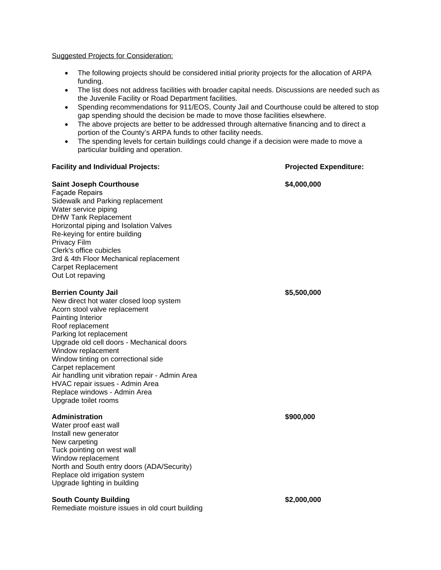Suggested Projects for Consideration:

- The following projects should be considered initial priority projects for the allocation of ARPA funding.
- The list does not address facilities with broader capital needs. Discussions are needed such as the Juvenile Facility or Road Department facilities.
- Spending recommendations for 911/EOS, County Jail and Courthouse could be altered to stop gap spending should the decision be made to move those facilities elsewhere.
- The above projects are better to be addressed through alternative financing and to direct a portion of the County's ARPA funds to other facility needs.
- The spending levels for certain buildings could change if a decision were made to move a particular building and operation.

#### **Facility and Individual Projects: Projected Expenditure:**

# **Saint Joseph Courthouse 64,000,000** Façade Repairs Sidewalk and Parking replacement Water service piping DHW Tank Replacement Horizontal piping and Isolation Valves Re-keying for entire building Privacy Film Clerk's office cubicles 3rd & 4th Floor Mechanical replacement Carpet Replacement Out Lot repaving **Berrien County Jail \$5,500,000** New direct hot water closed loop system Acorn stool valve replacement Painting Interior Roof replacement Parking lot replacement Upgrade old cell doors - Mechanical doors Window replacement Window tinting on correctional side Carpet replacement Air handling unit vibration repair - Admin Area HVAC repair issues - Admin Area Replace windows - Admin Area Upgrade toilet rooms **Administration \$900,000**

Water proof east wall Install new generator New carpeting Tuck pointing on west wall Window replacement North and South entry doors (ADA/Security) Replace old irrigation system Upgrade lighting in building

### **South County Building the Second Second Second S2,000,000**

Remediate moisture issues in old court building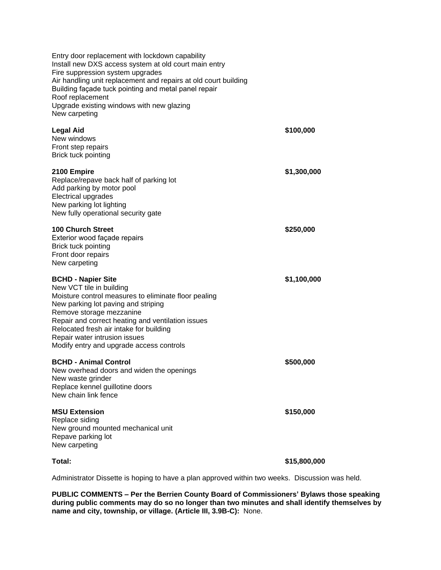| Entry door replacement with lockdown capability<br>Install new DXS access system at old court main entry<br>Fire suppression system upgrades<br>Air handling unit replacement and repairs at old court building<br>Building façade tuck pointing and metal panel repair<br>Roof replacement<br>Upgrade existing windows with new glazing<br>New carpeting     |              |
|---------------------------------------------------------------------------------------------------------------------------------------------------------------------------------------------------------------------------------------------------------------------------------------------------------------------------------------------------------------|--------------|
| <b>Legal Aid</b><br>New windows<br>Front step repairs<br>Brick tuck pointing                                                                                                                                                                                                                                                                                  | \$100,000    |
| 2100 Empire<br>Replace/repave back half of parking lot<br>Add parking by motor pool<br><b>Electrical upgrades</b><br>New parking lot lighting<br>New fully operational security gate                                                                                                                                                                          | \$1,300,000  |
| <b>100 Church Street</b><br>Exterior wood façade repairs<br>Brick tuck pointing<br>Front door repairs<br>New carpeting                                                                                                                                                                                                                                        | \$250,000    |
| <b>BCHD - Napier Site</b><br>New VCT tile in building<br>Moisture control measures to eliminate floor pealing<br>New parking lot paving and striping<br>Remove storage mezzanine<br>Repair and correct heating and ventilation issues<br>Relocated fresh air intake for building<br>Repair water intrusion issues<br>Modify entry and upgrade access controls | \$1,100,000  |
| <b>BCHD - Animal Control</b><br>New overhead doors and widen the openings<br>New waste grinder<br>Replace kennel guillotine doors<br>New chain link fence                                                                                                                                                                                                     | \$500,000    |
| <b>MSU Extension</b><br>Replace siding<br>New ground mounted mechanical unit<br>Repave parking lot<br>New carpeting                                                                                                                                                                                                                                           | \$150,000    |
| Total:                                                                                                                                                                                                                                                                                                                                                        | \$15,800,000 |

Administrator Dissette is hoping to have a plan approved within two weeks. Discussion was held.

**PUBLIC COMMENTS – Per the Berrien County Board of Commissioners' Bylaws those speaking during public comments may do so no longer than two minutes and shall identify themselves by name and city, township, or village. (Article III, 3.9B-C):** None.